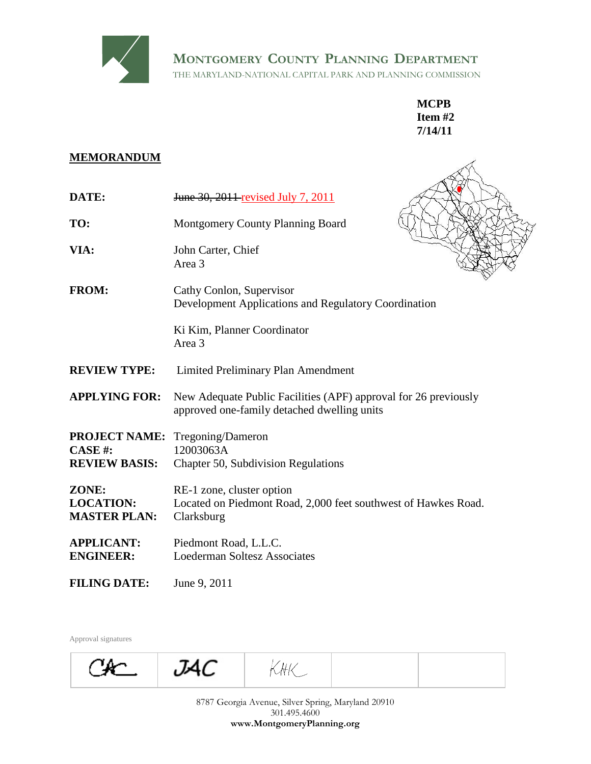

# **MEMORANDUM**

|                                                        | <b>MONTGOMERY COUNTY PLANNING DEPARTMENT</b><br>THE MARYLAND-NATIONAL CAPITAL PARK AND PLANNING COMMISSION     |
|--------------------------------------------------------|----------------------------------------------------------------------------------------------------------------|
|                                                        | <b>MCPB</b><br>Item $#2$<br>7/14/11                                                                            |
| <b>MEMORANDUM</b>                                      |                                                                                                                |
| DATE:                                                  | June 30, 2011 revised July 7, 2011                                                                             |
| TO:                                                    | Montgomery County Planning Board                                                                               |
| VIA:                                                   | John Carter, Chief<br>Area 3                                                                                   |
| <b>FROM:</b>                                           | Cathy Conlon, Supervisor<br>Development Applications and Regulatory Coordination                               |
|                                                        | Ki Kim, Planner Coordinator<br>Area 3                                                                          |
| <b>REVIEW TYPE:</b>                                    | Limited Preliminary Plan Amendment                                                                             |
| <b>APPLYING FOR:</b>                                   | New Adequate Public Facilities (APF) approval for 26 previously<br>approved one-family detached dwelling units |
| <b>PROJECT NAME:</b><br>CASE#:<br><b>REVIEW BASIS:</b> | Tregoning/Dameron<br>12003063A<br>Chapter 50, Subdivision Regulations                                          |
| ZONE:<br><b>LOCATION:</b><br><b>MASTER PLAN:</b>       | RE-1 zone, cluster option<br>Located on Piedmont Road, 2,000 feet southwest of Hawkes Road.<br>Clarksburg      |
| <b>APPLICANT:</b><br><b>ENGINEER:</b>                  | Piedmont Road, L.L.C.<br><b>Loederman Soltesz Associates</b>                                                   |
| <b>FILING DATE:</b>                                    | June 9, 2011                                                                                                   |
| Approval signatures                                    |                                                                                                                |
|                                                        | JAC<br>KHK _                                                                                                   |
|                                                        | 8787 Georgia Avenue, Silver Spring, Maryland 20910<br>301.495.4600<br>www.MontgomeryPlanning.org               |

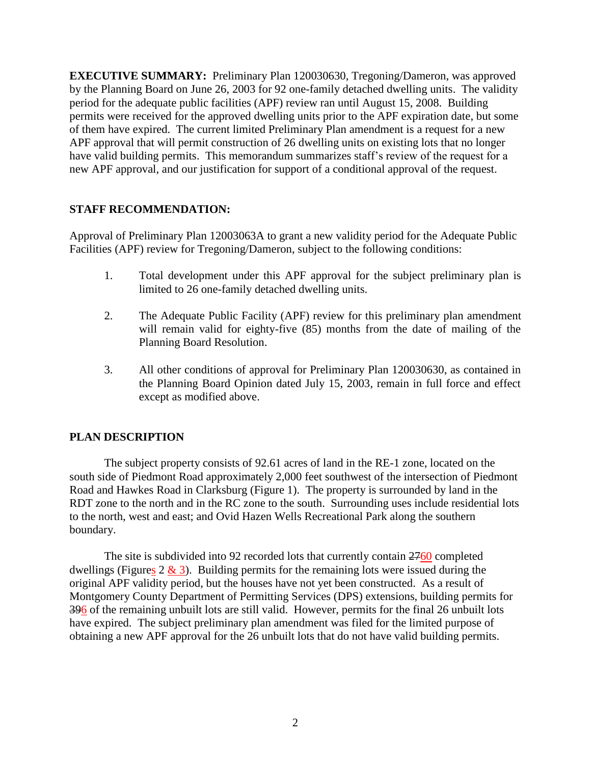**EXECUTIVE SUMMARY:** Preliminary Plan 120030630, Tregoning/Dameron, was approved by the Planning Board on June 26, 2003 for 92 one-family detached dwelling units. The validity period for the adequate public facilities (APF) review ran until August 15, 2008. Building permits were received for the approved dwelling units prior to the APF expiration date, but some of them have expired. The current limited Preliminary Plan amendment is a request for a new APF approval that will permit construction of 26 dwelling units on existing lots that no longer have valid building permits. This memorandum summarizes staff's review of the request for a new APF approval, and our justification for support of a conditional approval of the request.

# **STAFF RECOMMENDATION:**

Approval of Preliminary Plan 12003063A to grant a new validity period for the Adequate Public Facilities (APF) review for Tregoning/Dameron, subject to the following conditions:

- 1. Total development under this APF approval for the subject preliminary plan is limited to 26 one-family detached dwelling units.
- 2. The Adequate Public Facility (APF) review for this preliminary plan amendment will remain valid for eighty-five (85) months from the date of mailing of the Planning Board Resolution.
- 3. All other conditions of approval for Preliminary Plan 120030630, as contained in the Planning Board Opinion dated July 15, 2003, remain in full force and effect except as modified above.

# **PLAN DESCRIPTION**

The subject property consists of 92.61 acres of land in the RE-1 zone, located on the south side of Piedmont Road approximately 2,000 feet southwest of the intersection of Piedmont Road and Hawkes Road in Clarksburg (Figure 1). The property is surrounded by land in the RDT zone to the north and in the RC zone to the south. Surrounding uses include residential lots to the north, west and east; and Ovid Hazen Wells Recreational Park along the southern boundary.

The site is subdivided into 92 recorded lots that currently contain  $2760$  completed dwellings (Figures  $2 \& 3$ ). Building permits for the remaining lots were issued during the original APF validity period, but the houses have not yet been constructed. As a result of Montgomery County Department of Permitting Services (DPS) extensions, building permits for 396 of the remaining unbuilt lots are still valid. However, permits for the final 26 unbuilt lots have expired. The subject preliminary plan amendment was filed for the limited purpose of obtaining a new APF approval for the 26 unbuilt lots that do not have valid building permits.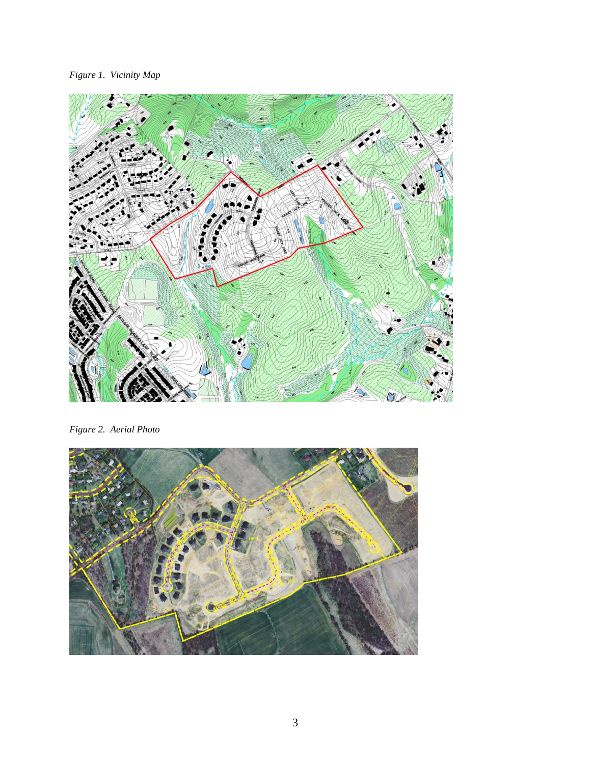*Figure 1. Vicinity Map*



*Figure 2. Aerial Photo*

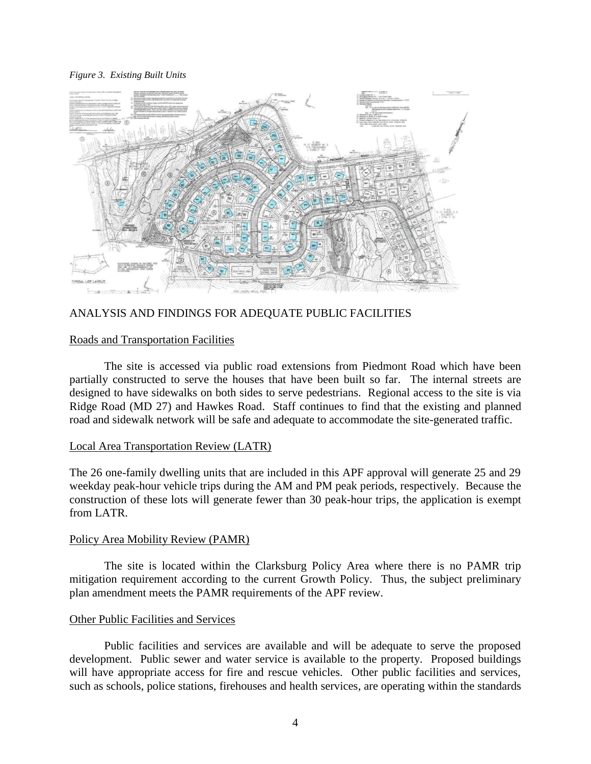#### *Figure 3. Existing Built Units*



# ANALYSIS AND FINDINGS FOR ADEQUATE PUBLIC FACILITIES

### Roads and Transportation Facilities

The site is accessed via public road extensions from Piedmont Road which have been partially constructed to serve the houses that have been built so far. The internal streets are designed to have sidewalks on both sides to serve pedestrians. Regional access to the site is via Ridge Road (MD 27) and Hawkes Road. Staff continues to find that the existing and planned road and sidewalk network will be safe and adequate to accommodate the site-generated traffic.

### Local Area Transportation Review (LATR)

The 26 one-family dwelling units that are included in this APF approval will generate 25 and 29 weekday peak-hour vehicle trips during the AM and PM peak periods, respectively. Because the construction of these lots will generate fewer than 30 peak-hour trips, the application is exempt from LATR.

### Policy Area Mobility Review (PAMR)

The site is located within the Clarksburg Policy Area where there is no PAMR trip mitigation requirement according to the current Growth Policy. Thus, the subject preliminary plan amendment meets the PAMR requirements of the APF review.

# Other Public Facilities and Services

Public facilities and services are available and will be adequate to serve the proposed development. Public sewer and water service is available to the property. Proposed buildings will have appropriate access for fire and rescue vehicles. Other public facilities and services, such as schools, police stations, firehouses and health services, are operating within the standards